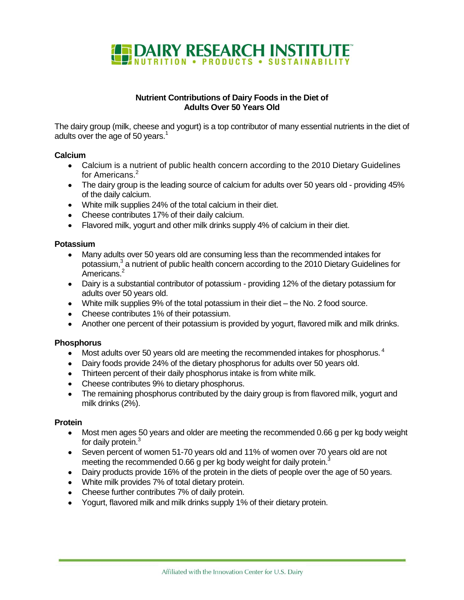

#### **Nutrient Contributions of Dairy Foods in the Diet of Adults Over 50 Years Old**

The dairy group (milk, cheese and yogurt) is a top contributor of many essential nutrients in the diet of adults over the age of 50 years.<sup>1</sup>

#### **Calcium**

- Calcium is a nutrient of public health concern according to the 2010 Dietary Guidelines for Americans.<sup>2</sup>
- The dairy group is the leading source of calcium for adults over 50 years old providing 45% of the daily calcium.
- White milk supplies 24% of the total calcium in their diet.
- Cheese contributes 17% of their daily calcium.
- Flavored milk, yogurt and other milk drinks supply 4% of calcium in their diet.

#### **Potassium**

- Many adults over 50 years old are consuming less than the recommended intakes for  $\bullet$ potassium,<sup>3</sup> a nutrient of public health concern according to the 2010 Dietary Guidelines for Americans.<sup>2</sup>
- Dairy is a substantial contributor of potassium providing 12% of the dietary potassium for adults over 50 years old.
- White milk supplies 9% of the total potassium in their diet the No. 2 food source.
- Cheese contributes 1% of their potassium.
- Another one percent of their potassium is provided by yogurt, flavored milk and milk drinks.

#### **Phosphorus**

- $\bullet$  Most adults over 50 years old are meeting the recommended intakes for phosphorus.<sup>4</sup>
- Dairy foods provide 24% of the dietary phosphorus for adults over 50 years old.
- Thirteen percent of their daily phosphorus intake is from white milk.
- Cheese contributes 9% to dietary phosphorus.
- The remaining phosphorus contributed by the dairy group is from flavored milk, yogurt and  $\bullet$ milk drinks (2%).

#### **Protein**

- Most men ages 50 years and older are meeting the recommended 0.66 g per kg body weight for daily protein.<sup>3</sup>
- Seven percent of women 51-70 years old and 11% of women over 70 years old are not meeting the recommended 0.66 g per kg body weight for daily protein.<sup>3</sup>
- Dairy products provide 16% of the protein in the diets of people over the age of 50 years.
- White milk provides 7% of total dietary protein.
- Cheese further contributes 7% of daily protein.
- Yogurt, flavored milk and milk drinks supply 1% of their dietary protein.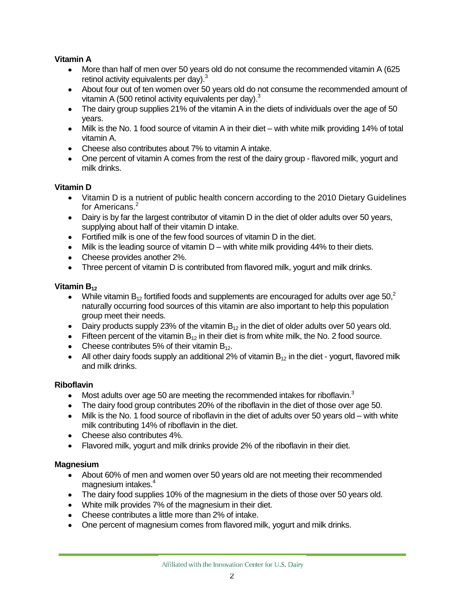# **Vitamin A**

- More than half of men over 50 years old do not consume the recommended vitamin A (625 retinol activity equivalents per day). $3$
- About four out of ten women over 50 years old do not consume the recommended amount of vitamin A (500 retinol activity equivalents per day).<sup>3</sup>
- The dairy group supplies 21% of the vitamin A in the diets of individuals over the age of 50 years.
- Milk is the No. 1 food source of vitamin A in their diet with white milk providing 14% of total vitamin A.
- Cheese also contributes about 7% to vitamin A intake.
- One percent of vitamin A comes from the rest of the dairy group flavored milk, yogurt and milk drinks.

## **Vitamin D**

- Vitamin D is a nutrient of public health concern according to the 2010 Dietary Guidelines for Americans.<sup>2</sup>
- Dairy is by far the largest contributor of vitamin D in the diet of older adults over 50 years, supplying about half of their vitamin D intake.
- Fortified milk is one of the few food sources of vitamin D in the diet.
- $\bullet$  Milk is the leading source of vitamin  $D$  with white milk providing 44% to their diets.
- Cheese provides another 2%.
- Three percent of vitamin D is contributed from flavored milk, yogurt and milk drinks.

## **Vitamin B**<sub>12</sub>

- While vitamin  $B_{12}$  fortified foods and supplements are encouraged for adults over age 50,<sup>2</sup> naturally occurring food sources of this vitamin are also important to help this population group meet their needs.
- Dairy products supply 23% of the vitamin  $B_{12}$  in the diet of older adults over 50 years old.
- Fifteen percent of the vitamin  $B_{12}$  in their diet is from white milk, the No. 2 food source.
- Cheese contributes 5% of their vitamin  $B_{12}$ .
- All other dairy foods supply an additional 2% of vitamin  $B_{12}$  in the diet yogurt, flavored milk and milk drinks.

## **Riboflavin**

- $\bullet$  Most adults over age 50 are meeting the recommended intakes for riboflavin.<sup>3</sup>
- The dairy food group contributes 20% of the riboflavin in the diet of those over age 50.
- Milk is the No. 1 food source of riboflavin in the diet of adults over 50 years old with white milk contributing 14% of riboflavin in the diet.
- Cheese also contributes 4%.
- Flavored milk, yogurt and milk drinks provide 2% of the riboflavin in their diet.

## **Magnesium**

- About 60% of men and women over 50 years old are not meeting their recommended magnesium intakes.<sup>4</sup>
- The dairy food supplies 10% of the magnesium in the diets of those over 50 years old.
- White milk provides 7% of the magnesium in their diet.
- Cheese contributes a little more than 2% of intake.
- One percent of magnesium comes from flavored milk, yogurt and milk drinks.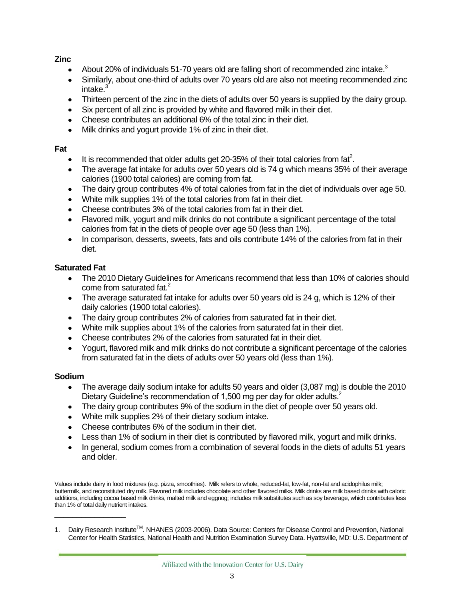**Zinc**

- About 20% of individuals 51-70 years old are falling short of recommended zinc intake.<sup>3</sup>
- Similarly, about one-third of adults over 70 years old are also not meeting recommended zinc intake $^{3}$
- Thirteen percent of the zinc in the diets of adults over 50 years is supplied by the dairy group.  $\bullet$
- Six percent of all zinc is provided by white and flavored milk in their diet.
- Cheese contributes an additional 6% of the total zinc in their diet.
- Milk drinks and yogurt provide 1% of zinc in their diet.

# **Fat**

- It is recommended that older adults get 20-35% of their total calories from fat<sup>2</sup>.
- The average fat intake for adults over 50 years old is 74 g which means 35% of their average calories (1900 total calories) are coming from fat.
- The dairy group contributes 4% of total calories from fat in the diet of individuals over age 50.
- White milk supplies 1% of the total calories from fat in their diet.
- Cheese contributes 3% of the total calories from fat in their diet.  $\bullet$
- Flavored milk, yogurt and milk drinks do not contribute a significant percentage of the total calories from fat in the diets of people over age 50 (less than 1%).
- In comparison, desserts, sweets, fats and oils contribute 14% of the calories from fat in their  $\bullet$ diet.

# **Saturated Fat**

- The 2010 Dietary Guidelines for Americans recommend that less than 10% of calories should come from saturated fat.<sup>2</sup>
- The average saturated fat intake for adults over 50 years old is 24 g, which is 12% of their daily calories (1900 total calories).
- The dairy group contributes 2% of calories from saturated fat in their diet.  $\bullet$
- White milk supplies about 1% of the calories from saturated fat in their diet.
- Cheese contributes 2% of the calories from saturated fat in their diet.
- Yogurt, flavored milk and milk drinks do not contribute a significant percentage of the calories from saturated fat in the diets of adults over 50 years old (less than 1%).

## **Sodium**

\_\_\_\_\_\_\_\_\_\_\_\_\_\_\_\_

- $\bullet$ The average daily sodium intake for adults 50 years and older (3,087 mg) is double the 2010 Dietary Guideline's recommendation of 1,500 mg per day for older adults.<sup>2</sup>
- The dairy group contributes 9% of the sodium in the diet of people over 50 years old.
- White milk supplies 2% of their dietary sodium intake.
- Cheese contributes 6% of the sodium in their diet.
- Less than 1% of sodium in their diet is contributed by flavored milk, yogurt and milk drinks.
- In general, sodium comes from a combination of several foods in the diets of adults 51 years and older.

Values include dairy in food mixtures (e.g. pizza, smoothies). Milk refers to whole, reduced-fat, low-fat, non-fat and acidophilus milk; buttermilk, and reconstituted dry milk. Flavored milk includes chocolate and other flavored milks. Milk drinks are milk based drinks with caloric additions, including cocoa based milk drinks, malted milk and eggnog; includes milk substitutes such as soy beverage, which contributes less than 1% of total daily nutrient intakes.

<sup>1.</sup> Dairy Research Institute<sup>TM</sup>. NHANES (2003-2006). Data Source: Centers for Disease Control and Prevention, National Center for Health Statistics, National Health and Nutrition Examination Survey Data. Hyattsville, MD: U.S. Department of